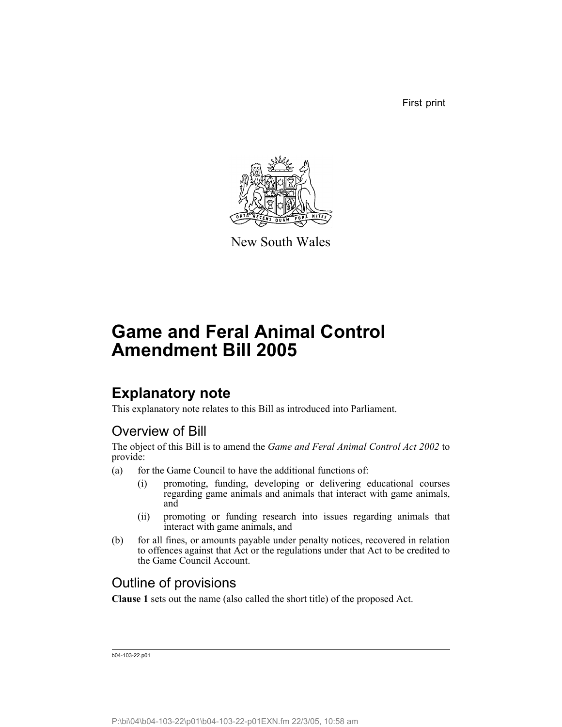First print



New South Wales

# **Game and Feral Animal Control Amendment Bill 2005**

## **Explanatory note**

This explanatory note relates to this Bill as introduced into Parliament.

## Overview of Bill

The object of this Bill is to amend the *Game and Feral Animal Control Act 2002* to provide:

- (a) for the Game Council to have the additional functions of:
	- (i) promoting, funding, developing or delivering educational courses regarding game animals and animals that interact with game animals, and
	- (ii) promoting or funding research into issues regarding animals that interact with game animals, and
- (b) for all fines, or amounts payable under penalty notices, recovered in relation to offences against that Act or the regulations under that Act to be credited to the Game Council Account.

## Outline of provisions

**Clause 1** sets out the name (also called the short title) of the proposed Act.

b04-103-22.p01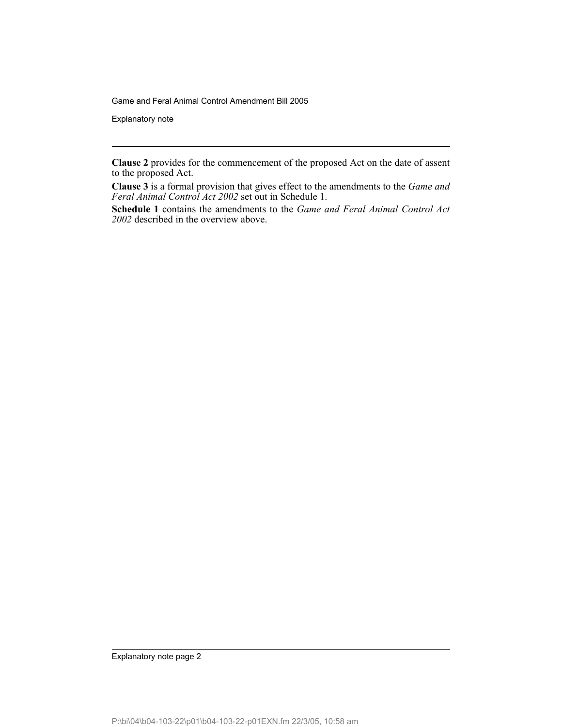Explanatory note

**Clause 2** provides for the commencement of the proposed Act on the date of assent to the proposed Act.

**Clause 3** is a formal provision that gives effect to the amendments to the *Game and Feral Animal Control Act 2002* set out in Schedule 1.

**Schedule 1** contains the amendments to the *Game and Feral Animal Control Act 2002* described in the overview above.

Explanatory note page 2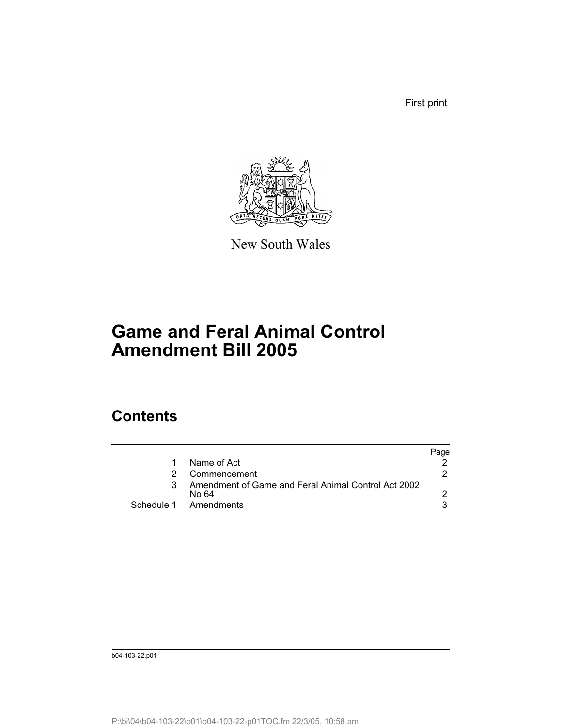First print



New South Wales

# **Game and Feral Animal Control Amendment Bill 2005**

## **Contents**

|                                                     | Page |
|-----------------------------------------------------|------|
| Name of Act                                         |      |
| Commencement                                        |      |
| Amendment of Game and Feral Animal Control Act 2002 |      |
| No 64                                               |      |
| Schedule 1 Amendments                               |      |

b04-103-22.p01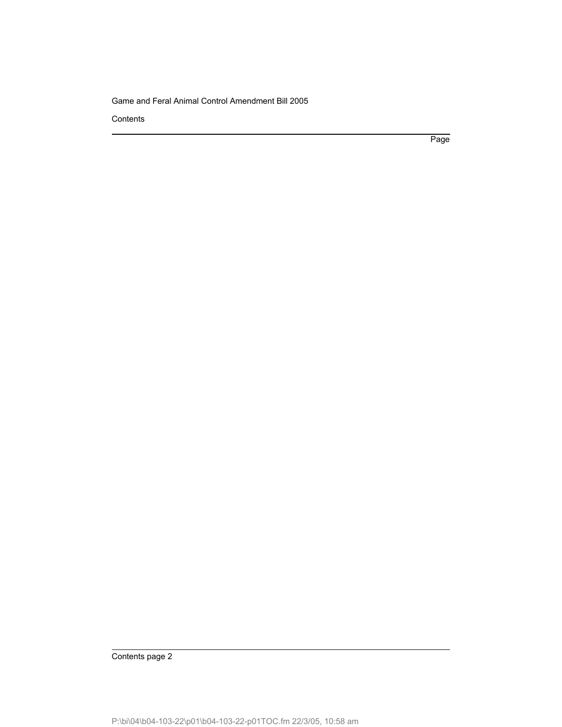**Contents** 

Page

Contents page 2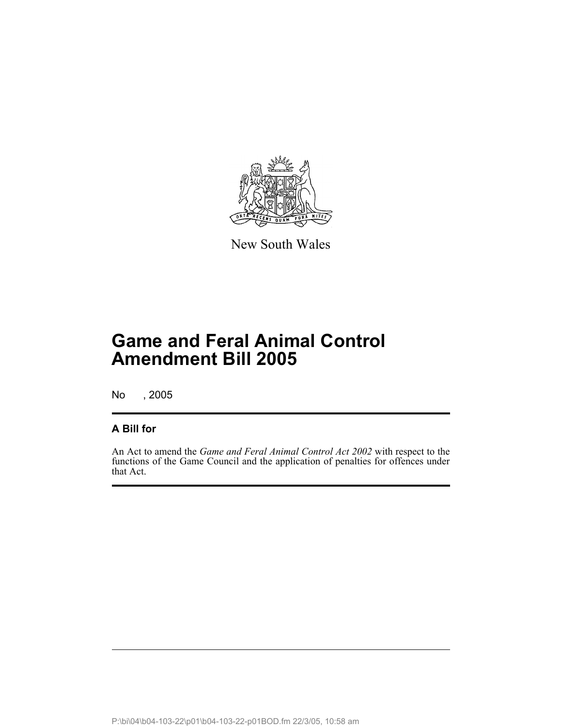

New South Wales

No , 2005

#### **A Bill for**

An Act to amend the *Game and Feral Animal Control Act 2002* with respect to the functions of the Game Council and the application of penalties for offences under that Act.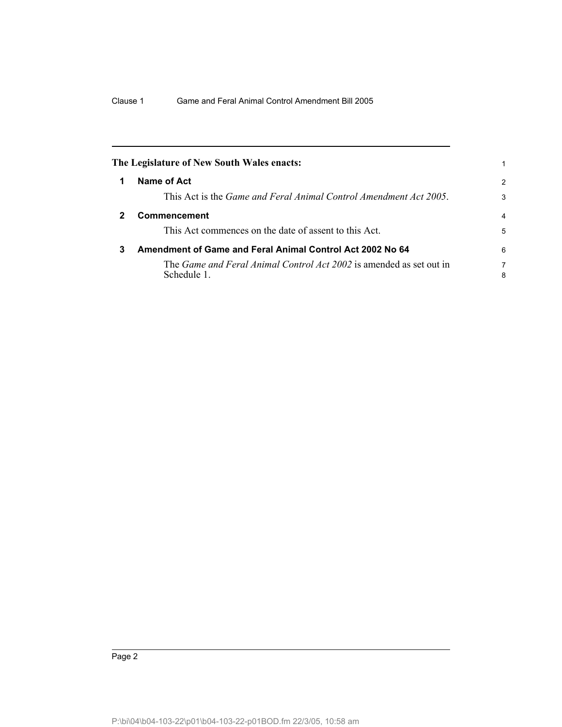<span id="page-5-1"></span><span id="page-5-0"></span>

|   | The Legislature of New South Wales enacts:                                               | 1      |
|---|------------------------------------------------------------------------------------------|--------|
|   | Name of Act                                                                              | 2      |
|   | This Act is the <i>Game and Feral Animal Control Amendment Act</i> 2005.                 | 3      |
| 2 | Commencement                                                                             | 4      |
|   | This Act commences on the date of assent to this Act.                                    | 5      |
| 3 | Amendment of Game and Feral Animal Control Act 2002 No 64                                | 6      |
|   | The <i>Game and Feral Animal Control Act 2002</i> is amended as set out in<br>Schedule 1 | 7<br>8 |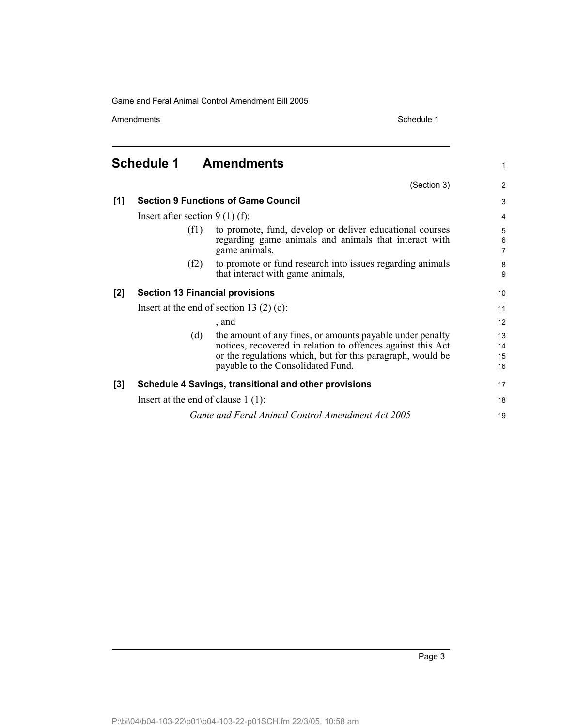Amendments Schedule 1

1

### <span id="page-6-0"></span>**Schedule 1 Amendments**

|       |                                                  | (Section 3)                                                                                                                                                                                                                 | $\overline{2}$           |
|-------|--------------------------------------------------|-----------------------------------------------------------------------------------------------------------------------------------------------------------------------------------------------------------------------------|--------------------------|
| [1]   |                                                  | <b>Section 9 Functions of Game Council</b>                                                                                                                                                                                  | 3                        |
|       | Insert after section $9(1)(f)$ :                 |                                                                                                                                                                                                                             |                          |
|       | (f1)                                             | to promote, fund, develop or deliver educational courses<br>regarding game animals and animals that interact with<br>game animals,                                                                                          | 5<br>6<br>$\overline{7}$ |
|       | (f2)                                             | to promote or fund research into issues regarding animals<br>that interact with game animals,                                                                                                                               | 8<br>9                   |
| $[2]$ | <b>Section 13 Financial provisions</b>           |                                                                                                                                                                                                                             | 10                       |
|       | Insert at the end of section 13 $(2)$ (c):       |                                                                                                                                                                                                                             | 11                       |
|       |                                                  | , and                                                                                                                                                                                                                       | 12                       |
|       | (d)                                              | the amount of any fines, or amounts payable under penalty<br>notices, recovered in relation to offences against this Act<br>or the regulations which, but for this paragraph, would be<br>payable to the Consolidated Fund. | 13<br>14<br>15<br>16     |
| [3]   |                                                  | Schedule 4 Savings, transitional and other provisions                                                                                                                                                                       | 17                       |
|       | Insert at the end of clause $1(1)$ :             |                                                                                                                                                                                                                             |                          |
|       | Game and Feral Animal Control Amendment Act 2005 |                                                                                                                                                                                                                             | 19                       |